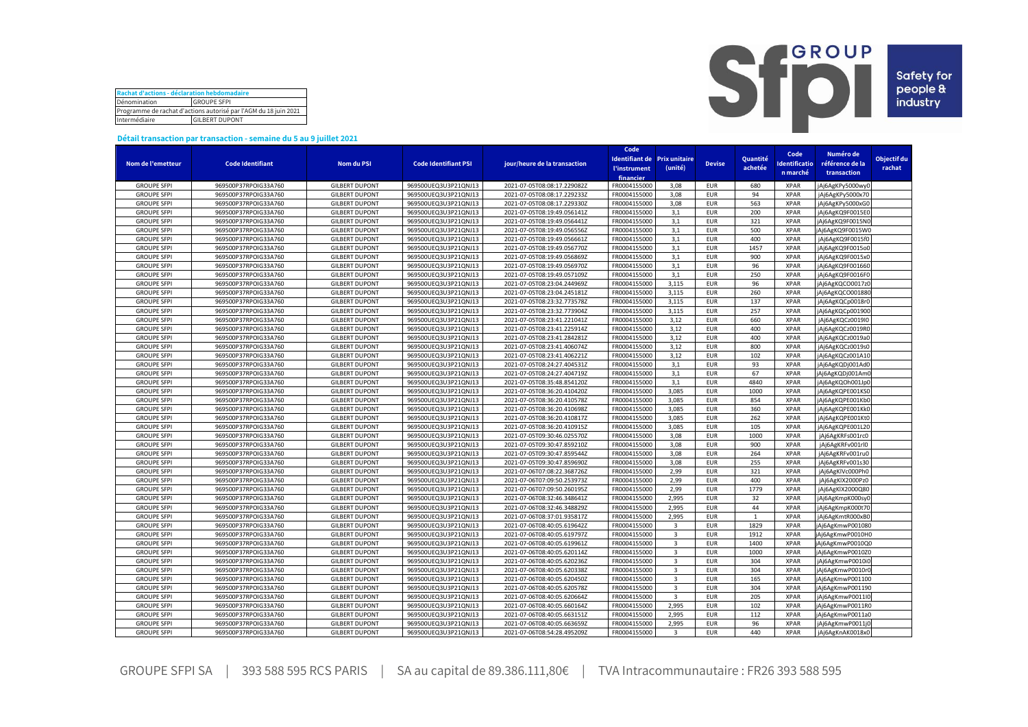| Rachat d'actions - déclaration hebdomadaire                      |                    |  |  |  |  |  |  |  |
|------------------------------------------------------------------|--------------------|--|--|--|--|--|--|--|
| Dénomination                                                     | <b>GROUPE SFPI</b> |  |  |  |  |  |  |  |
| Programme de rachat d'actions autorisé par l'AGM du 18 juin 2021 |                    |  |  |  |  |  |  |  |
| Intermédiaire<br><b>GILBERT DUPONT</b>                           |                    |  |  |  |  |  |  |  |



## **Détail transaction par transaction - semaine du 5 au 9 juillet 2021**

|                    |                         |                       |                             |                              | Code                              |                         |               |              |              |                  |             |
|--------------------|-------------------------|-----------------------|-----------------------------|------------------------------|-----------------------------------|-------------------------|---------------|--------------|--------------|------------------|-------------|
|                    |                         |                       |                             |                              | Identifiant de Prix unitaire      |                         |               | Quantité     | Code         | Numéro de        | Objectif du |
| Nom de l'emetteur  | <b>Code Identifiant</b> | <b>Nom du PSI</b>     | <b>Code Identifiant PSI</b> | jour/heure de la transaction | <b><i><u>l'instrument</u></i></b> | (unité)                 | <b>Devise</b> | achetée      | dentificatio | référence de la  | rachat      |
|                    |                         |                       |                             |                              | financier                         |                         |               |              | n marché     | transaction      |             |
| <b>GROUPE SFPI</b> | 969500P37RPOIG33A760    | <b>GILBERT DUPONT</b> | 969500UEQ3U3P21QNJ13        | 2021-07-05T08:08:17.229082Z  | FR0004155000                      | 3,08                    | <b>EUR</b>    | 680          | <b>XPAR</b>  | jAj6AgKPy5000wy0 |             |
| <b>GROUPE SFPI</b> | 969500P37RPOIG33A760    | <b>GILBERT DUPONT</b> | 969500UEQ3U3P21QNJ13        | 2021-07-05T08:08:17.229233Z  | FR0004155000                      | 3,08                    | <b>EUR</b>    | 94           | <b>XPAR</b>  | jAj6AgKPy5000x70 |             |
| <b>GROUPE SFPI</b> | 969500P37RPOIG33A760    | <b>GILBERT DUPONT</b> | 969500UEQ3U3P21QNJ13        | 2021-07-05T08:08:17.229330Z  | FR0004155000                      | 3,08                    | <b>EUR</b>    | 563          | <b>XPAR</b>  | jAj6AgKPy5000xG0 |             |
| <b>GROUPE SFPI</b> | 969500P37RPOIG33A760    | <b>GILBERT DUPONT</b> | 969500UEQ3U3P21QNJ13        | 2021-07-05T08:19:49.056141Z  | FR0004155000                      | 3,1                     | <b>EUR</b>    | 200          | <b>XPAR</b>  | jAj6AgKQ9F0015E0 |             |
| <b>GROUPE SFPI</b> | 969500P37RPOIG33A760    | <b>GILBERT DUPONT</b> | 969500UEQ3U3P21QNJ13        | 2021-07-05T08:19:49.056441Z  | FR0004155000                      | 3.1                     | <b>EUR</b>    | 321          | <b>XPAR</b>  | jAj6AgKQ9F0015NO |             |
| <b>GROUPE SFPI</b> | 969500P37RPOIG33A760    | <b>GILBERT DUPONT</b> | 969500UEQ3U3P21QNJ13        | 2021-07-05T08:19:49.056556Z  | FR0004155000                      | 3,1                     | <b>EUR</b>    | 500          | <b>XPAR</b>  | jAj6AgKQ9F0015W0 |             |
| <b>GROUPE SFPI</b> | 969500P37RPOIG33A760    | <b>GILBERT DUPONT</b> | 969500UEQ3U3P21QNJ13        | 2021-07-05T08:19:49.056661Z  | FR0004155000                      | 3,1                     | <b>EUR</b>    | 400          | <b>XPAR</b>  | jAj6AgKQ9F0015f0 |             |
| <b>GROUPE SFPI</b> | 969500P37RPOIG33A760    | <b>GILBERT DUPONT</b> | 969500UEQ3U3P21QNJ13        | 2021-07-05T08:19:49.056770Z  | FR0004155000                      | 3,1                     | <b>EUR</b>    | 1457         | <b>XPAR</b>  | jAj6AgKQ9F0015o0 |             |
| <b>GROUPE SFPI</b> | 969500P37RPOIG33A760    | <b>GILBERT DUPONT</b> | 969500UEQ3U3P21QNJ13        | 2021-07-05T08:19:49.056869Z  | FR0004155000                      | 3,1                     | <b>EUR</b>    | 900          | <b>XPAR</b>  | jAj6AgKQ9F0015x0 |             |
|                    |                         |                       |                             |                              |                                   |                         |               |              |              |                  |             |
| <b>GROUPE SFPI</b> | 969500P37RPOIG33A760    | <b>GILBERT DUPONT</b> | 969500UEQ3U3P21QNJ13        | 2021-07-05T08:19:49.056970Z  | FR0004155000                      | 3,1                     | <b>EUR</b>    | 96           | <b>XPAR</b>  | jAj6AgKQ9F001660 |             |
| <b>GROUPE SFPI</b> | 969500P37RPOIG33A760    | <b>GILBERT DUPONT</b> | 969500UEQ3U3P21QNJ13        | 2021-07-05T08:19:49.057109Z  | FR0004155000                      | 3,1                     | <b>EUR</b>    | 250          | <b>XPAR</b>  | jAj6AgKQ9F0016F0 |             |
| <b>GROUPE SFPI</b> | 969500P37RPOIG33A760    | <b>GILBERT DUPONT</b> | 969500UEQ3U3P21QNJ13        | 2021-07-05T08:23:04.244969Z  | FR0004155000                      | 3,115                   | <b>EUR</b>    | 96           | <b>XPAR</b>  | jAj6AgKQCO0017z0 |             |
| <b>GROUPE SFPI</b> | 969500P37RPOIG33A760    | <b>GILBERT DUPONT</b> | 969500UEQ3U3P21QNJ13        | 2021-07-05T08:23:04.245181Z  | FR0004155000                      | 3,115                   | <b>EUR</b>    | 260          | <b>XPAR</b>  | jAj6AgKQCO001880 |             |
| <b>GROUPE SFPI</b> | 969500P37RPOIG33A760    | <b>GILBERT DUPONT</b> | 969500UEQ3U3P21QNJ13        | 2021-07-05T08:23:32.773578Z  | FR0004155000                      | 3,115                   | <b>EUR</b>    | 137          | <b>XPAR</b>  | jAj6AgKQCp0018r0 |             |
| <b>GROUPE SFPI</b> | 969500P37RPOIG33A760    | <b>GILBERT DUPONT</b> | 969500UEQ3U3P21QNJ13        | 2021-07-05T08:23:32.773904Z  | FR0004155000                      | 3,115                   | <b>EUR</b>    | 257          | <b>XPAR</b>  | jAj6AgKQCp001900 |             |
| <b>GROUPE SFPI</b> | 969500P37RPOIG33A760    | <b>GILBERT DUPONT</b> | 969500UEQ3U3P21QNJ13        | 2021-07-05T08:23:41.221041Z  | FR0004155000                      | 3,12                    | <b>EUR</b>    | 660          | <b>XPAR</b>  | jAj6AgKQCz0019I0 |             |
| <b>GROUPE SFPI</b> | 969500P37RPOIG33A760    | <b>GILBERT DUPONT</b> | 969500UEQ3U3P21QNJ13        | 2021-07-05T08:23:41.225914Z  | FR0004155000                      | 3,12                    | <b>EUR</b>    | 400          | <b>XPAR</b>  | jAj6AgKQCz0019R0 |             |
| <b>GROUPE SFPI</b> | 969500P37RPOIG33A760    | <b>GILBERT DUPONT</b> | 969500UEQ3U3P21QNJ13        | 2021-07-05T08:23:41.284281Z  | FR0004155000                      | 3,12                    | <b>EUR</b>    | 400          | <b>XPAR</b>  | jAj6AgKQCz0019aC |             |
| <b>GROUPE SFPI</b> | 969500P37RPOIG33A760    | <b>GILBERT DUPONT</b> | 969500UEQ3U3P21QNJ13        | 2021-07-05T08:23:41.406074Z  | FR0004155000                      | 3,12                    | <b>EUR</b>    | 800          | <b>XPAR</b>  | jAj6AgKQCz0019s0 |             |
| <b>GROUPE SFPI</b> | 969500P37RPOIG33A760    | <b>GILBERT DUPONT</b> | 969500UEQ3U3P21QNJ13        | 2021-07-05T08:23:41.406221Z  | FR0004155000                      | 3,12                    | <b>EUR</b>    | 102          | <b>XPAR</b>  | jAj6AgKQCz001A10 |             |
| <b>GROUPE SFPI</b> | 969500P37RPOIG33A760    | <b>GILBERT DUPONT</b> | 969500UEQ3U3P21QNJ13        | 2021-07-05T08:24:27.404531Z  | FR0004155000                      | 3,1                     | <b>EUR</b>    | 93           | <b>XPAR</b>  | jAj6AgKQDj001Ad0 |             |
| <b>GROUPE SFPI</b> | 969500P37RPOIG33A760    | <b>GILBERT DUPONT</b> | 969500UEQ3U3P21QNJ13        | 2021-07-05T08:24:27.404719Z  | FR0004155000                      | 3,1                     | <b>EUR</b>    | 67           | <b>XPAR</b>  | jAj6AgKQDj001AmC |             |
| <b>GROUPE SFPI</b> | 969500P37RPOIG33A760    | <b>GILBERT DUPONT</b> | 969500UEQ3U3P21QNJ13        | 2021-07-05T08:35:48.854120Z  | FR0004155000                      | 3,1                     | <b>EUR</b>    | 4840         | <b>XPAR</b>  | jAj6AgKQOh001Jp0 |             |
| <b>GROUPE SFPI</b> | 969500P37RPOIG33A760    | <b>GILBERT DUPONT</b> | 969500UEQ3U3P21QNJ13        | 2021-07-05T08:36:20.410420Z  | FR0004155000                      | 3,085                   | <b>EUR</b>    | 1000         | <b>XPAR</b>  | jAj6AgKQPE001KS0 |             |
| <b>GROUPE SFPI</b> | 969500P37RPOIG33A760    | <b>GILBERT DUPONT</b> | 969500UEQ3U3P21QNJ13        | 2021-07-05T08:36:20.410578Z  | FR0004155000                      | 3,085                   | <b>EUR</b>    | 854          | <b>XPAR</b>  | jAj6AgKQPE001Kb0 |             |
| <b>GROUPE SFPI</b> | 969500P37RPOIG33A760    | <b>GILBERT DUPONT</b> | 969500UEQ3U3P21QNJ13        | 2021-07-05T08:36:20.410698Z  | FR0004155000                      | 3,085                   | <b>EUR</b>    | 360          | <b>XPAR</b>  | jAj6AgKQPE001Kk0 |             |
| <b>GROUPE SFPI</b> | 969500P37RPOIG33A760    | <b>GILBERT DUPONT</b> | 969500UEQ3U3P21QNJ13        | 2021-07-05T08:36:20.410817Z  | FR0004155000                      | 3.085                   | <b>EUR</b>    | 262          | <b>XPAR</b>  | jAj6AgKQPE001Kt0 |             |
| <b>GROUPE SFPI</b> | 969500P37RPOIG33A760    | <b>GILBERT DUPONT</b> | 969500UEQ3U3P21QNJ13        | 2021-07-05T08:36:20.410915Z  | FR0004155000                      | 3,085                   | <b>EUR</b>    | 105          | <b>XPAR</b>  | jAj6AgKQPE001L20 |             |
| <b>GROUPE SFPI</b> | 969500P37RPOIG33A760    | <b>GILBERT DUPONT</b> | 969500UEQ3U3P21QNJ13        | 2021-07-05T09:30:46.025570Z  | FR0004155000                      | 3,08                    | <b>EUR</b>    | 1000         | <b>XPAR</b>  | jAj6AgKRFs001rc0 |             |
| <b>GROUPE SFPI</b> | 969500P37RPOIG33A760    | <b>GILBERT DUPONT</b> | 969500UEQ3U3P21QNJ13        | 2021-07-05T09:30:47.859210Z  | FR0004155000                      | 3,08                    | <b>EUR</b>    | 900          | <b>XPAR</b>  | jAj6AgKRFv001rl0 |             |
| <b>GROUPE SFPI</b> | 969500P37RPOIG33A760    | <b>GILBERT DUPONT</b> | 969500UEQ3U3P21QNJ13        | 2021-07-05T09:30:47.859544Z  | FR0004155000                      | 3.08                    | <b>EUR</b>    | 264          | <b>XPAR</b>  | jAj6AgKRFv001ru0 |             |
| <b>GROUPE SFPI</b> | 969500P37RPOIG33A760    | <b>GILBERT DUPONT</b> | 969500UEQ3U3P21QNJ13        | 2021-07-05T09:30:47.859690Z  | FR0004155000                      | 3,08                    | <b>EUR</b>    | 255          | <b>XPAR</b>  | jAj6AgKRFv001s30 |             |
| <b>GROUPE SFPI</b> | 969500P37RPOIG33A760    | <b>GILBERT DUPONT</b> | 969500UEQ3U3P21QNJ13        | 2021-07-06T07:08:22.368726Z  | FR0004155000                      | 2,99                    | <b>EUR</b>    | 321          | <b>XPAR</b>  | jAj6AgKlVc000Ph0 |             |
| <b>GROUPE SFPI</b> | 969500P37RPOIG33A760    | <b>GILBERT DUPONT</b> | 969500UEQ3U3P21QNJ13        | 2021-07-06T07:09:50.253973Z  | FR0004155000                      | 2.99                    | <b>EUR</b>    | 400          | <b>XPAR</b>  | jAj6AgKlX2000Pz0 |             |
| <b>GROUPE SFPI</b> | 969500P37RPOIG33A760    | <b>GILBERT DUPONT</b> | 969500UEQ3U3P21QNJ13        | 2021-07-06T07:09:50.260195Z  | FR0004155000                      | 2,99                    | <b>EUR</b>    | 1779         | <b>XPAR</b>  | jAj6AgKlX2000Q80 |             |
| <b>GROUPE SFPI</b> | 969500P37RPOIG33A760    | <b>GILBERT DUPONT</b> | 969500UEQ3U3P21QNJ13        | 2021-07-06T08:32:46.348641Z  | FR0004155000                      | 2,995                   | <b>EUR</b>    | 32           | <b>XPAR</b>  | jAj6AgKmpK000sy0 |             |
| <b>GROUPE SFPI</b> | 969500P37RPOIG33A760    | <b>GILBERT DUPONT</b> | 969500UEQ3U3P21QNJ13        | 2021-07-06T08:32:46.348829Z  | FR0004155000                      | 2,995                   | <b>EUR</b>    | 44           | <b>XPAR</b>  | jAj6AgKmpK000t70 |             |
| <b>GROUPE SFPI</b> | 969500P37RPOIG33A760    | <b>GILBERT DUPONT</b> | 969500UEQ3U3P21QNJ13        | 2021-07-06T08:37:01.935817Z  | FR0004155000                      | 2,995                   | <b>EUR</b>    | $\mathbf{1}$ | <b>XPAR</b>  |                  |             |
| <b>GROUPE SFPI</b> |                         | <b>GILBERT DUPONT</b> | 969500UEQ3U3P21QNJ13        |                              | FR0004155000                      | $\overline{\mathbf{3}}$ | <b>EUR</b>    | 1829         | <b>XPAR</b>  | jAj6AgKmtR000xB0 |             |
|                    | 969500P37RPOIG33A760    |                       |                             | 2021-07-06T08:40:05.619642Z  |                                   |                         |               |              |              | jAj6AgKmwP001080 |             |
| <b>GROUPE SFPI</b> | 969500P37RPOIG33A760    | <b>GILBERT DUPONT</b> | 969500UEQ3U3P21QNJ13        | 2021-07-06T08:40:05.619797Z  | FR0004155000                      | $\overline{\mathbf{3}}$ | <b>EUR</b>    | 1912         | <b>XPAR</b>  | jAj6AgKmwP0010H0 |             |
| <b>GROUPE SFPI</b> | 969500P37RPOIG33A760    | <b>GILBERT DUPONT</b> | 969500UEQ3U3P21QNJ13        | 2021-07-06T08:40:05.619961Z  | FR0004155000                      | $\overline{\mathbf{3}}$ | <b>EUR</b>    | 1400         | <b>XPAR</b>  | jAj6AgKmwP0010Q0 |             |
| <b>GROUPE SFPI</b> | 969500P37RPOIG33A760    | <b>GILBERT DUPONT</b> | 969500UEQ3U3P21QNJ13        | 2021-07-06T08:40:05.620114Z  | FR0004155000                      | $\overline{3}$          | <b>EUR</b>    | 1000         | <b>XPAR</b>  | jAj6AgKmwP0010Z0 |             |
| <b>GROUPE SFPI</b> | 969500P37RPOIG33A760    | <b>GILBERT DUPONT</b> | 969500UEQ3U3P21QNJ13        | 2021-07-06T08:40:05.620236Z  | FR0004155000                      | $\overline{\mathbf{3}}$ | <b>EUR</b>    | 304          | <b>XPAR</b>  | jAj6AgKmwP0010i0 |             |
| <b>GROUPE SFPI</b> | 969500P37RPOIG33A760    | <b>GILBERT DUPONT</b> | 969500UEQ3U3P21QNJ13        | 2021-07-06T08:40:05.620338Z  | FR0004155000                      | $\overline{\mathbf{3}}$ | <b>EUR</b>    | 304          | <b>XPAR</b>  | jAj6AgKmwP0010r0 |             |
| <b>GROUPE SFPI</b> | 969500P37RPOIG33A760    | <b>GILBERT DUPONT</b> | 969500UEQ3U3P21QNJ13        | 2021-07-06T08:40:05.620450Z  | FR0004155000                      | $\overline{\mathbf{3}}$ | <b>EUR</b>    | 165          | <b>XPAR</b>  | jAj6AgKmwP001100 |             |
| <b>GROUPE SFPI</b> | 969500P37RPOIG33A760    | <b>GILBERT DUPONT</b> | 969500UEQ3U3P21QNJ13        | 2021-07-06T08:40:05.620578Z  | FR0004155000                      | $\overline{\mathbf{3}}$ | <b>EUR</b>    | 304          | <b>XPAR</b>  | jAj6AgKmwP001190 |             |
| <b>GROUPE SFPI</b> | 969500P37RPOIG33A760    | <b>GILBERT DUPONT</b> | 969500UEQ3U3P21QNJ13        | 2021-07-06T08:40:05.620664Z  | FR0004155000                      | $\overline{3}$          | <b>EUR</b>    | 205          | <b>XPAR</b>  | jAj6AgKmwP0011IC |             |
| <b>GROUPE SFPI</b> | 969500P37RPOIG33A760    | <b>GILBERT DUPONT</b> | 969500UEQ3U3P21QNJ13        | 2021-07-06T08:40:05.660164Z  | FR0004155000                      | 2,995                   | <b>EUR</b>    | 102          | <b>XPAR</b>  | jAj6AgKmwP0011R0 |             |
| <b>GROUPE SFPI</b> | 969500P37RPOIG33A760    | <b>GILBERT DUPONT</b> | 969500UEQ3U3P21QNJ13        | 2021-07-06T08:40:05.663151Z  | FR0004155000                      | 2,995                   | <b>EUR</b>    | 112          | <b>XPAR</b>  | jAj6AgKmwP0011a0 |             |
| <b>GROUPE SFPI</b> | 969500P37RPOIG33A760    | <b>GILBERT DUPONT</b> | 969500UEQ3U3P21QNJ13        | 2021-07-06T08:40:05.663659Z  | FR0004155000                      | 2.995                   | <b>EUR</b>    | 96           | <b>XPAR</b>  | jAj6AgKmwP0011jC |             |
| <b>GROUPE SFPI</b> | 969500P37RPOIG33A760    | <b>GILBERT DUPONT</b> | 969500UEQ3U3P21QNJ13        | 2021-07-06T08:54:28.495209Z  | FR0004155000                      | $\overline{3}$          | <b>EUR</b>    | 440          | <b>XPAR</b>  | jAj6AgKnAK0018x0 |             |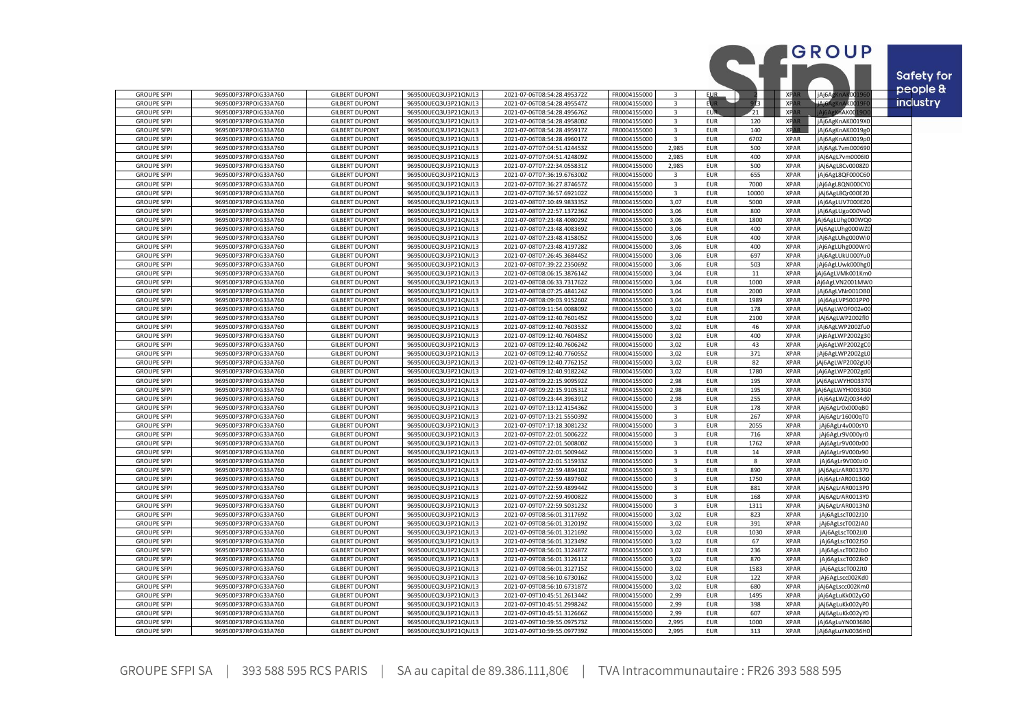|                                          |                                              |                                                |                                              |                                                            |                              |                         |                          |             |                            | GROUP                                | Safety for      |
|------------------------------------------|----------------------------------------------|------------------------------------------------|----------------------------------------------|------------------------------------------------------------|------------------------------|-------------------------|--------------------------|-------------|----------------------------|--------------------------------------|-----------------|
| <b>GROUPE SFPI</b>                       | 969500P37RPOIG33A760                         | <b>GILBERT DUPONT</b>                          | 969500UEQ3U3P21QNJ13                         | 2021-07-06T08:54:28.495372Z                                | FR0004155000                 | 3                       | <b>EUR</b>               |             | $\overline{ }$ XPA         | jAj6AgKnAK001                        | people &        |
| <b>GROUPE SFPI</b>                       | 969500P37RPOIG33A760                         | <b>GILBERT DUPONT</b>                          | 969500UEQ3U3P21QNJ13                         | 2021-07-06T08:54:28.495547Z                                | FR0004155000                 | 3                       | <b>EUR</b>               | M3          | <b>XPA</b>                 | iAj6AgKnAK0019I                      | <b>industry</b> |
| <b>GROUPE SFPI</b>                       | 969500P37RPOIG33A760                         | <b>GILBERT DUPONT</b>                          | 969500UEQ3U3P21QNJ13                         | 2021-07-06T08:54:28.495676Z                                | FR0004155000                 | 3                       | EUR.                     | 21          | <b>XPAF</b>                | KnAK00:                              |                 |
| <b>GROUPE SFPI</b>                       | 969500P37RPOIG33A760                         | <b>GILBERT DUPONT</b>                          | 969500UEQ3U3P21QNJ13                         | 2021-07-06T08:54:28.495800Z                                | FR0004155000                 | $\overline{3}$          | <b>EUR</b>               | 120         | <b>XPAR</b>                | jAj6AgKnAK0019X0                     |                 |
| <b>GROUPE SFPI</b>                       | 969500P37RPOIG33A760                         | <b>GILBERT DUPONT</b>                          | 969500UEQ3U3P21QNJ13                         | 2021-07-06T08:54:28.495917Z                                | FR0004155000                 | 3                       | <b>EUR</b>               | 140         | <b>XPAR</b>                | jAj6AgKnAK0019g0                     |                 |
| <b>GROUPE SFPI</b>                       | 969500P37RPOIG33A760                         | <b>GILBERT DUPONT</b>                          | 969500UEQ3U3P21QNJ13                         | 2021-07-06T08:54:28.496017Z                                | FR0004155000                 | $\overline{\mathbf{a}}$ | <b>EUR</b>               | 6702        | <b>XPAR</b>                | jAj6AgKnAK0019p                      |                 |
| <b>GROUPE SFPI</b>                       | 969500P37RPOIG33A760                         | <b>GILBERT DUPONT</b>                          | 969500UEQ3U3P21QNJ13                         | 2021-07-07T07:04:51.424453Z                                | FR0004155000                 | 2,985                   | <b>EUR</b>               | 500         | <b>XPAR</b>                | jAj6AgL7vm00069                      |                 |
| <b>GROUPE SFPI</b>                       | 969500P37RPOIG33A760                         | <b>GILBERT DUPONT</b>                          | 969500UEQ3U3P21QNJ13                         | 2021-07-07T07:04:51.424809Z                                | FR0004155000                 | 2,985                   | <b>EUR</b>               | 400         | <b>XPAR</b>                | jAj6AgL7vm0006I0                     |                 |
| <b>GROUPE SFPI</b>                       | 969500P37RPOIG33A760                         | <b>GILBERT DUPONT</b>                          | 969500UEQ3U3P21QNJ13                         | 2021-07-07T07:22:34.055831Z                                | FR0004155000                 | 2,985                   | <b>EUR</b>               | 500         | <b>XPAR</b>                | jAj6AgL8Cv0008Z0                     |                 |
| <b>GROUPE SFPI</b>                       | 969500P37RPOIG33A760                         | <b>GILBERT DUPONT</b>                          | 969500UEQ3U3P21QNJ13                         | 2021-07-07T07:36:19.676300Z                                | FR0004155000                 | $\overline{3}$          | <b>EUR</b>               | 655         | <b>XPAR</b>                | jAj6AgL8QF000C60                     |                 |
| <b>GROUPE SFPI</b>                       | 969500P37RPOIG33A760                         | <b>GILBERT DUPONT</b>                          | 969500UEQ3U3P21QNJ13                         | 2021-07-07T07:36:27.874657Z                                | FR0004155000                 | $\overline{3}$          | <b>EUR</b>               | 7000        | <b>XPAR</b>                | jAj6AgL8QN000CY                      |                 |
| <b>GROUPE SFPI</b>                       | 969500P37RPOIG33A760                         | <b>GILBERT DUPONT</b>                          | 969500UEQ3U3P21QNJ13                         | 2021-07-07T07:36:57.692102Z                                | FR0004155000                 | $\overline{3}$          | <b>EUR</b>               | 10000       | <b>XPAR</b>                | jAj6AgL8Qr000E20                     |                 |
| <b>GROUPE SFPI</b>                       | 969500P37RPOIG33A760                         | <b>GILBERT DUPONT</b>                          | 969500UEQ3U3P21QNJ13                         | 2021-07-08T07:10:49.983335Z                                | FR0004155000                 | 3,07                    | <b>EUR</b>               | 5000        | <b>XPAR</b>                | jAj6AgLUV7000EZC                     |                 |
| <b>GROUPE SFPI</b><br><b>GROUPE SFPI</b> | 969500P37RPOIG33A760<br>969500P37RPOIG33A760 | <b>GILBERT DUPONT</b><br><b>GILBERT DUPONT</b> | 969500UEQ3U3P21QNJ13<br>969500UEQ3U3P21QNJ13 | 2021-07-08T07:22:57.137236Z<br>2021-07-08T07:23:48.408029Z | FR0004155000<br>FR0004155000 | 3,06<br>3,06            | <b>EUR</b><br><b>EUR</b> | 800<br>1800 | <b>XPAR</b><br><b>XPAR</b> | jAj6AgLUgo000VeC<br>Aj6AgLUhg000WQ0  |                 |
| <b>GROUPE SFPI</b>                       | 969500P37RPOIG33A760                         | <b>GILBERT DUPONT</b>                          | 969500UEQ3U3P21QNJ13                         | 2021-07-08T07:23:48.408369Z                                | FR0004155000                 | 3,06                    | <b>EUR</b>               | 400         | <b>XPAR</b>                | jAj6AgLUhg000WZ                      |                 |
| <b>GROUPE SFPI</b>                       | 969500P37RPOIG33A760                         | <b>GILBERT DUPONT</b>                          | 969500UEQ3U3P21QNJ13                         | 2021-07-08T07:23:48.415805Z                                | FR0004155000                 | 3.06                    | <b>EUR</b>               | 400         | <b>XPAR</b>                | jAj6AgLUhg000Wi                      |                 |
| <b>GROUPE SFPI</b>                       | 969500P37RPOIG33A760                         | <b>GILBERT DUPONT</b>                          | 969500UEQ3U3P21QNJ13                         | 2021-07-08T07:23:48.419728Z                                | FR0004155000                 | 3,06                    | <b>EUR</b>               | 400         | <b>XPAR</b>                | jAj6AgLUhg000Wr                      |                 |
| <b>GROUPE SFPI</b>                       | 969500P37RPOIG33A760                         | <b>GILBERT DUPONT</b>                          | 969500UEQ3U3P21QNJ13                         | 2021-07-08T07:26:45.368445Z                                | FR0004155000                 | 3,06                    | <b>EUR</b>               | 697         | <b>XPAR</b>                | Aj6AgLUkU000Yu                       |                 |
| <b>GROUPE SFPI</b>                       | 969500P37RPOIG33A760                         | <b>GILBERT DUPONT</b>                          | 969500UEQ3U3P21QNJ13                         | 2021-07-08T07:39:22.235069Z                                | FR0004155000                 | 3,06                    | <b>EUR</b>               | 503         | <b>XPAR</b>                | jAj6AgLUwk000hg0                     |                 |
| <b>GROUPE SFPI</b>                       | 969500P37RPOIG33A760                         | <b>GILBERT DUPONT</b>                          | 969500UEQ3U3P21QNJ13                         | 2021-07-08T08:06:15.387614Z                                | FR0004155000                 | 3.04                    | <b>EUR</b>               | 11          | <b>XPAR</b>                | Aj6AgLVMk001Km0                      |                 |
| <b>GROUPE SFPI</b>                       | 969500P37RPOIG33A760                         | <b>GILBERT DUPONT</b>                          | 969500UEQ3U3P21QNJ13                         | 2021-07-08T08:06:33.731762Z                                | FR0004155000                 | 3,04                    | <b>EUR</b>               | 1000        | <b>XPAR</b>                | Aj6AgLVN2001MW0                      |                 |
| <b>GROUPE SFPI</b>                       | 969500P37RPOIG33A760                         | <b>GILBERT DUPONT</b>                          | 969500UEQ3U3P21QNJ13                         | 2021-07-08T08:07:25.484124Z                                | FR0004155000                 | 3.04                    | <b>EUR</b>               | 2000        | <b>XPAR</b>                | jAj6AgLVNr001OB0                     |                 |
| <b>GROUPE SFPI</b>                       | 969500P37RPOIG33A760                         | <b>GILBERT DUPONT</b>                          | 969500UEQ3U3P21QNJ13                         | 2021-07-08T08:09:03.915260Z                                | FR0004155000                 | 3,04                    | <b>EUR</b>               | 1989        | <b>XPAR</b>                | jAj6AgLVPS001PP0                     |                 |
| <b>GROUPE SFPI</b>                       | 969500P37RPOIG33A760                         | <b>GILBERT DUPONT</b>                          | 969500UEQ3U3P21QNJ13                         | 2021-07-08T09:11:54.008809Z                                | FR0004155000                 | 3.02                    | <b>EUR</b>               | 178         | <b>XPAR</b>                | jAj6AgLWOF002e00                     |                 |
| <b>GROUPE SFPI</b>                       | 969500P37RPOIG33A760                         | <b>GILBERT DUPONT</b>                          | 969500UEQ3U3P21QNJ13                         | 2021-07-08T09:12:40.760145Z                                | FR0004155000                 | 3,02                    | <b>EUR</b>               | 2100        | <b>XPAR</b>                | jAj6AgLWP2002fl0                     |                 |
| <b>GROUPE SFPI</b>                       | 969500P37RPOIG33A760                         | <b>GILBERT DUPONT</b>                          | 969500UEQ3U3P21QNJ13                         | 2021-07-08T09:12:40.760353Z                                | FR0004155000                 | 3,02                    | <b>EUR</b>               | 46          | <b>XPAR</b>                | jAj6AgLWP2002fu0                     |                 |
| <b>GROUPE SFPI</b>                       | 969500P37RPOIG33A760                         | <b>GILBERT DUPONT</b>                          | 969500UEQ3U3P21QNJ13                         | 2021-07-08T09:12:40.760485Z                                | FR0004155000                 | 3,02                    | <b>EUR</b>               | 400         | <b>XPAR</b>                | jAj6AgLWP2002g3                      |                 |
| <b>GROUPE SFPI</b>                       | 969500P37RPOIG33A760<br>969500P37RPOIG33A760 | <b>GILBERT DUPONT</b><br><b>GILBERT DUPONT</b> | 969500UEQ3U3P21QNJ13                         | 2021-07-08T09:12:40.760624Z<br>2021-07-08T09:12:40.776055Z | FR0004155000<br>FR0004155000 | 3,02<br>3,02            | <b>EUR</b><br><b>EUR</b> | 43<br>371   | <b>XPAR</b><br><b>XPAR</b> | jAj6AgLWP2002gC                      |                 |
| <b>GROUPE SFPI</b><br><b>GROUPE SFPI</b> | 969500P37RPOIG33A760                         | <b>GILBERT DUPONT</b>                          | 969500UEQ3U3P21QNJ13<br>969500UEQ3U3P21QNJ13 | 2021-07-08T09:12:40.776215Z                                | FR0004155000                 | 3,02                    | <b>EUR</b>               | 82          | <b>XPAR</b>                | jAj6AgLWP2002gL0<br>jAj6AgLWP2002gUC |                 |
| <b>GROUPE SFPI</b>                       | 969500P37RPOIG33A760                         | <b>GILBERT DUPONT</b>                          | 969500UEQ3U3P21QNJ13                         | 2021-07-08T09:12:40.918224Z                                | FR0004155000                 | 3,02                    | <b>EUR</b>               | 1780        | <b>XPAR</b>                | Aj6AgLWP2002gdC                      |                 |
| <b>GROUPE SFPI</b>                       | 969500P37RPOIG33A760                         | <b>GILBERT DUPONT</b>                          | 969500UEQ3U3P21QNJ13                         | 2021-07-08T09:22:15.909592Z                                | FR0004155000                 | 2,98                    | <b>EUR</b>               | 195         | <b>XPAR</b>                | jAj6AgLWYH00337                      |                 |
| <b>GROUPE SFPI</b>                       | 969500P37RPOIG33A760                         | <b>GILBERT DUPONT</b>                          | 969500UEQ3U3P21QNJ13                         | 2021-07-08T09:22:15.910531Z                                | FR0004155000                 | 2,98                    | <b>EUR</b>               | 195         | <b>XPAR</b>                | jAj6AgLWYH0033G0                     |                 |
| <b>GROUPE SFPI</b>                       | 969500P37RPOIG33A760                         | <b>GILBERT DUPONT</b>                          | 969500UEQ3U3P21QNJ13                         | 2021-07-08T09:23:44.396391Z                                | FR0004155000                 | 2,98                    | <b>EUR</b>               | 255         | <b>XPAR</b>                | jAj6AgLWZj0034dC                     |                 |
| <b>GROUPE SFPI</b>                       | 969500P37RPOIG33A760                         | <b>GILBERT DUPONT</b>                          | 969500UEQ3U3P21QNJ13                         | 2021-07-09T07:13:12.415436Z                                | FR0004155000                 | $\overline{3}$          | <b>EUR</b>               | 178         | <b>XPAR</b>                | jAj6AgLr0x000qB0                     |                 |
| <b>GROUPE SFPI</b>                       | 969500P37RPOIG33A760                         | <b>GILBERT DUPONT</b>                          | 969500UEQ3U3P21QNJ13                         | 2021-07-09T07:13:21.555039Z                                | FR0004155000                 | 3                       | <b>EUR</b>               | 267         | <b>XPAR</b>                | jAj6AgLr16000qT0                     |                 |
| <b>GROUPE SFPI</b>                       | 969500P37RPOIG33A760                         | <b>GILBERT DUPONT</b>                          | 969500UEQ3U3P21QNJ13                         | 2021-07-09T07:17:18.308123Z                                | FR0004155000                 | $\overline{3}$          | <b>EUR</b>               | 2055        | <b>XPAR</b>                | jAj6AgLr4v000sY0                     |                 |
| <b>GROUPE SFPI</b>                       | 969500P37RPOIG33A760                         | <b>GILBERT DUPONT</b>                          | 969500UEQ3U3P21QNJ13                         | 2021-07-09T07:22:01.500622Z                                | FR0004155000                 | 3                       | <b>EUR</b>               | 716         | <b>XPAR</b>                | jAj6AgLr9V000yr0                     |                 |
| <b>GROUPE SFPI</b>                       | 969500P37RPOIG33A760                         | <b>GILBERT DUPONT</b>                          | 969500UEQ3U3P21QNJ1                          | 2021-07-09T07:22:01.500800Z                                | FR0004155000                 | $\overline{3}$          | <b>EUR</b>               | 1762        | <b>XPAR</b>                | jAj6AgLr9V000z00                     |                 |
| <b>GROUPE SFPI</b>                       | 969500P37RPOIG33A760                         | <b>GILBERT DUPONT</b>                          | 969500UEQ3U3P21QNJ13                         | 2021-07-09T07:22:01.500944Z                                | FR0004155000                 | $\mathbf{3}$            | <b>EUR</b>               | $14\,$      | <b>XPAR</b>                | jAj6AgLr9V000z90                     |                 |
| <b>GROUPE SFPI</b>                       | 969500P37RPOIG33A760                         | <b>GILBERT DUPONT</b><br><b>GILBERT DUPONT</b> | 969500UEQ3U3P21QNJ13<br>969500UEQ3U3P21QNJ13 | 2021-07-09T07:22:01.515933Z                                | FR0004155000<br>FR0004155000 | $\overline{3}$          | <b>EUR</b><br><b>EUR</b> | 8           | <b>XPAR</b><br><b>XPAR</b> | jAj6AgLr9V000zI0                     |                 |
| <b>GROUPE SFPI</b><br><b>GROUPE SFPI</b> | 969500P37RPOIG33A760<br>969500P37RPOIG33A760 | <b>GILBERT DUPONT</b>                          | 969500UEQ3U3P21QNJ13                         | 2021-07-09T07:22:59.489410Z<br>2021-07-09T07:22:59.489760Z | FR0004155000                 | 3<br>$\mathbf{R}$       | <b>EUR</b>               | 890<br>1750 | <b>XPAR</b>                | jAj6AgLrAR001370<br>jAj6AgLrAR0013G0 |                 |
| <b>GROUPE SFPI</b>                       | 969500P37RPOIG33A760                         | <b>GILBERT DUPONT</b>                          | 969500UEQ3U3P21QNJ13                         | 2021-07-09T07:22:59.489944Z                                | FR0004155000                 | 3                       | <b>EUR</b>               | 881         | <b>XPAR</b>                | jAj6AgLrAR0013P0                     |                 |
| <b>GROUPE SFPI</b>                       | 969500P37RPOIG33A760                         | <b>GILBERT DUPONT</b>                          | 969500UEQ3U3P21QNJ13                         | 2021-07-09T07:22:59.490082Z                                | FR0004155000                 | 3                       | <b>EUR</b>               | 168         | <b>XPAR</b>                | jAj6AgLrAR0013Y0                     |                 |
| <b>GROUPE SFPI</b>                       | 969500P37RPOIG33A760                         | <b>GILBERT DUPONT</b>                          | 969500UEQ3U3P21QNJ13                         | 2021-07-09T07:22:59.503123Z                                | FR0004155000                 | 3                       | <b>EUR</b>               | 1311        | <b>XPAR</b>                | jAj6AgLrAR0013h0                     |                 |
| <b>GROUPE SFPI</b>                       | 969500P37RPOIG33A760                         | <b>GILBERT DUPONT</b>                          | 969500UEQ3U3P21QNJ13                         | 2021-07-09T08:56:01.311769Z                                | FR0004155000                 | 3,02                    | <b>EUR</b>               | 823         | <b>XPAR</b>                | jAj6AgLscT002J10                     |                 |
| <b>GROUPE SFPI</b>                       | 969500P37RPOIG33A760                         | <b>GILBERT DUPONT</b>                          | 969500UEQ3U3P21QNJ13                         | 2021-07-09T08:56:01.312019Z                                | FR0004155000                 | 3,02                    | <b>EUR</b>               | 391         | <b>XPAR</b>                | jAj6AgLscT002JA0                     |                 |
| <b>GROUPE SFPI</b>                       | 969500P37RPOIG33A760                         | <b>GILBERT DUPONT</b>                          | 969500UEQ3U3P21QNJ13                         | 2021-07-09T08:56:01.312169Z                                | FR0004155000                 | 3,02                    | <b>EUR</b>               | 1030        | <b>XPAR</b>                | jAj6AgLscT002JJ0                     |                 |
| <b>GROUPE SFPI</b>                       | 969500P37RPOIG33A760                         | <b>GILBERT DUPONT</b>                          | 969500UEQ3U3P21QNJ13                         | 2021-07-09T08:56:01.312349Z                                | FR0004155000                 | 3,02                    | <b>EUR</b>               | 67          | <b>XPAR</b>                | jAj6AgLscT002JS0                     |                 |
| <b>GROUPE SFPI</b>                       | 969500P37RPOIG33A760                         | <b>GILBERT DUPONT</b>                          | 969500UEQ3U3P21QNJ13                         | 2021-07-09T08:56:01.312487Z                                | FR0004155000                 | 3,02                    | <b>EUR</b>               | 236         | <b>XPAR</b>                | jAj6AgLscT002Jb0                     |                 |
| <b>GROUPE SFPI</b>                       | 969500P37RPOIG33A760                         | <b>GILBERT DUPONT</b>                          | 969500UEQ3U3P21QNJ13                         | 2021-07-09T08:56:01.312611Z                                | FR0004155000                 | 3,02                    | <b>EUR</b>               | 870         | <b>XPAR</b>                | jAj6AgLscT002Jk0                     |                 |
| <b>GROUPE SFPI</b>                       | 969500P37RPOIG33A760                         | <b>GILBERT DUPONT</b>                          | 969500UEQ3U3P21QNJ13                         | 2021-07-09T08:56:01.312715Z                                | FR0004155000                 | 3,02                    | <b>EUR</b>               | 1583        | <b>XPAR</b>                | jAj6AgLscT002Jt0                     |                 |
| <b>GROUPE SFPI</b>                       | 969500P37RPOIG33A760                         | <b>GILBERT DUPONT</b>                          | 969500UEQ3U3P21QNJ13                         | 2021-07-09T08:56:10.673016Z                                | FR0004155000                 | 3,02                    | <b>EUR</b>               | 122         | <b>XPAR</b>                | jAj6AgLscc002Kd0                     |                 |
| <b>GROUPE SFPI</b><br><b>GROUPE SFPI</b> | 969500P37RPOIG33A760<br>969500P37RPOIG33A760 | <b>GILBERT DUPONT</b><br><b>GILBERT DUPONT</b> | 969500UEQ3U3P21QNJ13<br>969500UEQ3U3P21QNJ1  | 2021-07-09T08:56:10.673187Z<br>2021-07-09T10:45:51.261344Z | FR0004155000<br>FR0004155000 | 3,02<br>2,99            | <b>EUR</b><br><b>EUR</b> | 680<br>1495 | <b>XPAR</b><br><b>XPAR</b> | jAj6AgLscc002Km0                     |                 |
| <b>GROUPE SFPI</b>                       | 969500P37RPOIG33A760                         | <b>GILBERT DUPONT</b>                          | 969500UEQ3U3P21QNJ13                         | 2021-07-09T10:45:51.299824Z                                | FR0004155000                 | 2,99                    | <b>EUR</b>               | 398         | <b>XPAR</b>                | Aj6AgLuKk002yG0<br>Aj6AgLuKk002yP0   |                 |
| <b>GROUPE SFPI</b>                       | 969500P37RPOIG33A760                         | <b>GILBERT DUPONT</b>                          | 969500UEQ3U3P21QNJ13                         | 2021-07-09T10:45:51.312666Z                                | FR0004155000                 | 2,99                    | <b>EUR</b>               | 607         | <b>XPAR</b>                | jAj6AgLuKk002yY0                     |                 |
| <b>GROUPE SFPI</b>                       | 969500P37RPOIG33A760                         | <b>GILBERT DUPONT</b>                          | 969500UEQ3U3P21QNJ13                         | 2021-07-09T10:59:55.097573Z                                | FR0004155000                 | 2,995                   | <b>EUR</b>               | 1000        | <b>XPAR</b>                | jAj6AgLuYN00368C                     |                 |
| <b>GROUPE SFPI</b>                       | 969500P37RPOIG33A760                         | <b>GILBERT DUPONT</b>                          | 969500UEQ3U3P21QNJ13                         | 2021-07-09T10:59:55.097739Z                                | FR0004155000                 | 2.995                   | <b>EUR</b>               | 313         | <b>XPAR</b>                | jAj6AgLuYN0036H0                     |                 |
|                                          |                                              |                                                |                                              |                                                            |                              |                         |                          |             |                            |                                      |                 |